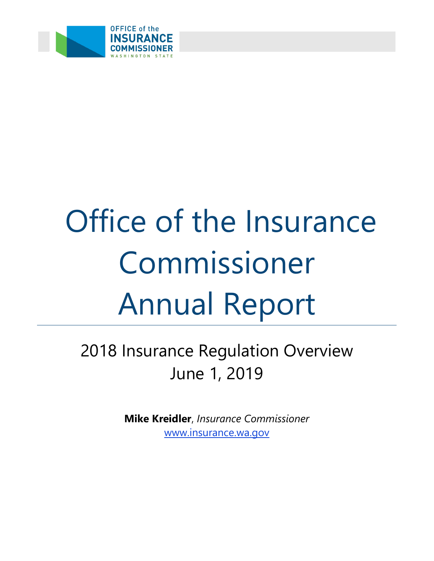

# Office of the Insurance Commissioner Annual Report

2018 Insurance Regulation Overview June 1, 2019

> **Mike Kreidler**, *Insurance Commissioner* [www.insurance.wa.gov](https://www.insurance.wa.gov/)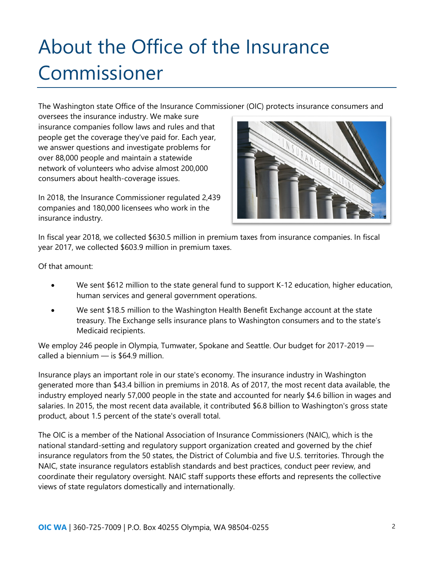# About the Office of the Insurance Commissioner

The Washington state Office of the Insurance Commissioner (OIC) protects insurance consumers and

oversees the insurance industry. We make sure insurance companies follow laws and rules and that people get the coverage they've paid for. Each year, we answer questions and investigate problems for over 88,000 people and maintain a statewide network of volunteers who advise almost 200,000 consumers about health-coverage issues.

In 2018, the Insurance Commissioner regulated 2,439 companies and 180,000 licensees who work in the insurance industry.



In fiscal year 2018, we collected \$630.5 million in premium taxes from insurance companies. In fiscal year 2017, we collected \$603.9 million in premium taxes.

Of that amount:

- We sent \$612 million to the state general fund to support K-12 education, higher education, human services and general government operations.
- We sent \$18.5 million to the Washington Health Benefit Exchange account at the state treasury. The Exchange sells insurance plans to Washington consumers and to the state's Medicaid recipients.

We employ 246 people in Olympia, Tumwater, Spokane and Seattle. Our budget for 2017-2019 called a biennium — is \$64.9 million.

Insurance plays an important role in our state's economy. The insurance industry in Washington generated more than \$43.4 billion in premiums in 2018. As of 2017, the most recent data available, the industry employed nearly 57,000 people in the state and accounted for nearly \$4.6 billion in wages and salaries. In 2015, the most recent data available, it contributed \$6.8 billion to Washington's gross state product, about 1.5 percent of the state's overall total.

The OIC is a member of the National Association of Insurance Commissioners (NAIC), which is the national standard-setting and regulatory support organization created and governed by the chief insurance regulators from the 50 states, the District of Columbia and five U.S. territories. Through the NAIC, state insurance regulators establish standards and best practices, conduct peer review, and coordinate their regulatory oversight. NAIC staff supports these efforts and represents the collective views of state regulators domestically and internationally.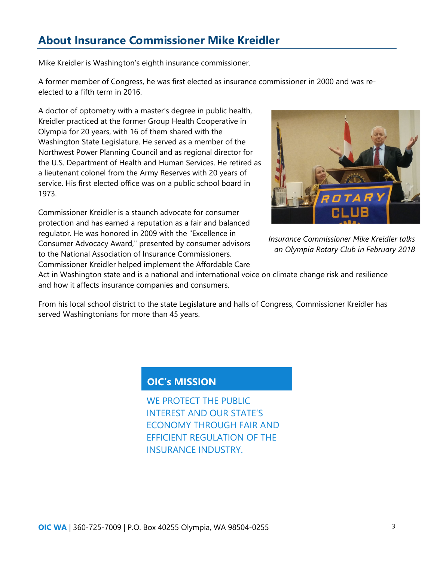# **About Insurance Commissioner Mike Kreidler**

Mike Kreidler is Washington's eighth insurance commissioner.

A former member of Congress, he was first elected as insurance commissioner in 2000 and was reelected to a fifth term in 2016.

A doctor of optometry with a master's degree in public health, Kreidler practiced at the former Group Health Cooperative in Olympia for 20 years, with 16 of them shared with the Washington State Legislature. He served as a member of the Northwest Power Planning Council and as regional director for the U.S. Department of Health and Human Services. He retired as a lieutenant colonel from the Army Reserves with 20 years of service. His first elected office was on a public school board in 1973.

Commissioner Kreidler is a staunch advocate for consumer protection and has earned a reputation as a fair and balanced regulator. He was honored in 2009 with the "Excellence in Consumer Advocacy Award," presented by consumer advisors to the National Association of Insurance Commissioners. Commissioner Kreidler helped implement the Affordable Care



*Insurance Commissioner Mike Kreidler talks an Olympia Rotary Club in February 2018*

Act in Washington state and is a national and international voice on climate change risk and resilience and how it affects insurance companies and consumers.

From his local school district to the state Legislature and halls of Congress, Commissioner Kreidler has served Washingtonians for more than 45 years.

### **OIC's MISSION**

WE PROTECT THE PUBLIC INTEREST AND OUR STATE'S ECONOMY THROUGH FAIR AND EFFICIENT REGULATION OF THE INSURANCE INDUSTRY.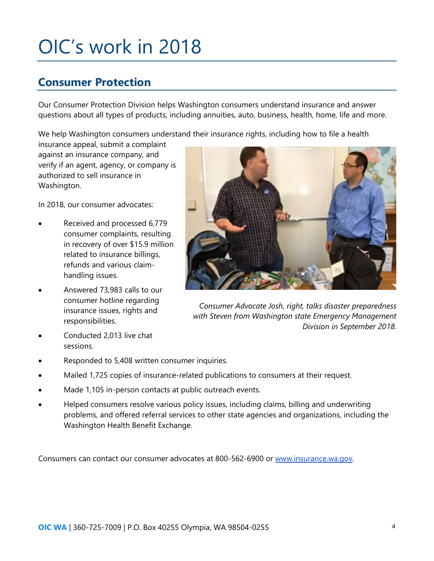# OIC's work in 2018

# **Consumer Protection**

Our Consumer Protection Division helps Washington consumers understand insurance and answer questions about all types of products, including annuities, auto, business, health, home, life and more.

We help Washington consumers understand their insurance rights, including how to file a health

insurance appeal, submit a complaint against an insurance company, and verify if an agent, agency, or company is authorized to sell insurance in Washington.

In 2018, our consumer advocates:

- Received and processed 6,779 consumer complaints, resulting in recovery of over \$15.9 million related to insurance billings, refunds and various claimhandling issues.
- Answered 73,983 calls to our consumer hotline regarding insurance issues, rights and responsibilities.
- Conducted 2,013 live chat sessions.



*Consumer Advocate Josh, right, talks disaster preparedness with Steven from Washington state Emergency Management Division in September 2018.*

- Responded to 5,408 written consumer inquiries.
- Mailed 1,725 copies of insurance-related publications to consumers at their request.
- Made 1,105 in-person contacts at public outreach events.
- Helped consumers resolve various policy issues, including claims, billing and underwriting problems, and offered referral services to other state agencies and organizations, including the Washington Health Benefit Exchange.

Consumers can contact our consumer advocates at 800-562-6900 or [www.insurance.wa.gov.](http://www.insurance.wa.gov/)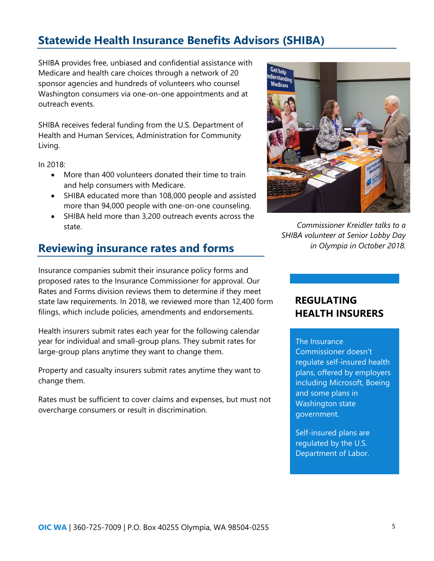# **Statewide Health Insurance Benefits Advisors (SHIBA)**

SHIBA provides free, unbiased and confidential assistance with Medicare and health care choices through a network of 20 sponsor agencies and hundreds of volunteers who counsel Washington consumers via one-on-one appointments and at outreach events.

SHIBA receives federal funding from the U.S. Department of Health and Human Services, Administration for Community Living.

In 2018:

- More than 400 volunteers donated their time to train and help consumers with Medicare.
- SHIBA educated more than 108,000 people and assisted more than 94,000 people with one-on-one counseling.
- SHIBA held more than 3,200 outreach events across the state.

# **Reviewing insurance rates and forms**

Insurance companies submit their insurance policy forms and proposed rates to the Insurance Commissioner for approval. Our Rates and Forms division reviews them to determine if they meet state law requirements. In 2018, we reviewed more than 12,400 form filings, which include policies, amendments and endorsements.

Health insurers submit rates each year for the following calendar year for individual and small-group plans. They submit rates for large-group plans anytime they want to change them.

Property and casualty insurers submit rates anytime they want to change them.

Rates must be sufficient to cover claims and expenses, but must not overcharge consumers or result in discrimination.



*Commissioner Kreidler talks to a SHIBA volunteer at Senior Lobby Day in Olympia in October 2018.*

### **REGULATING HEALTH INSURERS**

#### The Insurance

Commissioner doesn't regulate self-insured health plans, offered by employers including Microsoft, Boeing and some plans in Washington state government.

Self-insured plans are regulated by the U.S. Department of Labor.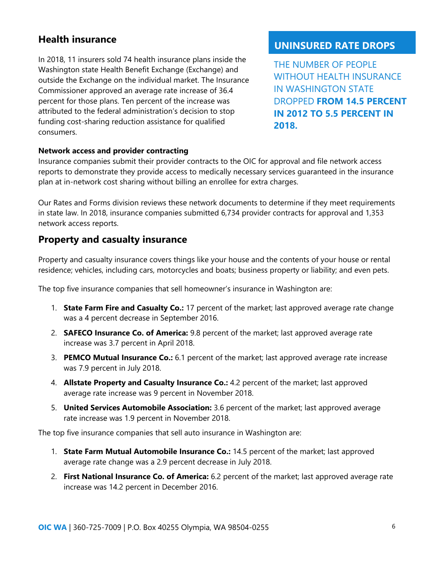## **Health insurance**

In 2018, 11 insurers sold 74 health insurance plans inside the Washington state Health Benefit Exchange (Exchange) and outside the Exchange on the individual market. The Insurance Commissioner approved an average rate increase of 36.4 percent for those plans. Ten percent of the increase was attributed to the federal administration's decision to stop funding cost-sharing reduction assistance for qualified consumers.

#### **UNINSURED RATE DROPS**

THE NUMBER OF PEOPLE WITHOUT HEALTH INSURANCE IN WASHINGTON STATE DROPPED **FROM 14.5 PERCENT IN 2012 TO 5.5 PERCENT IN 2018.**

#### **Network access and provider contracting**

Insurance companies submit their provider contracts to the OIC for approval and file network access reports to demonstrate they provide access to medically necessary services guaranteed in the insurance plan at in-network cost sharing without billing an enrollee for extra charges.

Our Rates and Forms division reviews these network documents to determine if they meet requirements in state law. In 2018, insurance companies submitted 6,734 provider contracts for approval and 1,353 network access reports.

#### **Property and casualty insurance**

Property and casualty insurance covers things like your house and the contents of your house or rental residence; vehicles, including cars, motorcycles and boats; business property or liability; and even pets.

The top five insurance companies that sell homeowner's insurance in Washington are:

- 1. **State Farm Fire and Casualty Co.:** 17 percent of the market; last approved average rate change was a 4 percent decrease in September 2016.
- 2. **SAFECO Insurance Co. of America:** 9.8 percent of the market; last approved average rate increase was 3.7 percent in April 2018.
- 3. **PEMCO Mutual Insurance Co.:** 6.1 percent of the market; last approved average rate increase was 7.9 percent in July 2018.
- 4. **Allstate Property and Casualty Insurance Co.:** 4.2 percent of the market; last approved average rate increase was 9 percent in November 2018.
- 5. **United Services Automobile Association:** 3.6 percent of the market; last approved average rate increase was 1.9 percent in November 2018.

The top five insurance companies that sell auto insurance in Washington are:

- 1. **State Farm Mutual Automobile Insurance Co.:** 14.5 percent of the market; last approved average rate change was a 2.9 percent decrease in July 2018.
- 2. **First National Insurance Co. of America:** 6.2 percent of the market; last approved average rate increase was 14.2 percent in December 2016.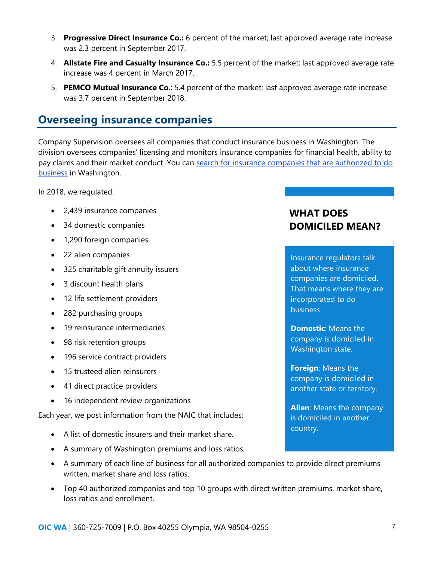- 3. **Progressive Direct Insurance Co.:** 6 percent of the market; last approved average rate increase was 2.3 percent in September 2017.
- 4. **Allstate Fire and Casualty Insurance Co.:** 5.5 percent of the market; last approved average rate increase was 4 percent in March 2017.
- 5. **PEMCO Mutual Insurance Co.**: 5.4 percent of the market; last approved average rate increase was 3.7 percent in September 2018.

# **Overseeing insurance companies**

Company Supervision oversees all companies that conduct insurance business in Washington. The division oversees companies' licensing and monitors insurance companies for financial health, ability to pay claims and their market conduct. You can search for insurance companies that are authorized to do [business](http://www.insurance.wa.gov/consumertoolkit/search.aspx) in Washington.

In 2018, we regulated:

- 2,439 insurance companies
- 34 domestic companies
- 1,290 foreign companies
- 22 alien companies
- 325 charitable gift annuity issuers
- 3 discount health plans
- 12 life settlement providers
- 282 purchasing groups
- 19 reinsurance intermediaries
- 98 risk retention groups
- 196 service contract providers
- 15 trusteed alien reinsurers
- 41 direct practice providers
- 16 independent review organizations

Each year, we post information from the NAIC that includes:

- A list of domestic insurers and their market share.
- A summary of Washington premiums and loss ratios.
- A summary of each line of business for all authorized companies to provide direct premiums written, market share and loss ratios.
- Top 40 authorized companies and top 10 groups with direct written premiums, market share, loss ratios and enrollment.

# **WHAT DOES DOMICILED MEAN?**

Insurance regulators talk about where insurance companies are domiciled. That means where they are incorporated to do business.

**Domestic**: Means the company is domiciled in Washington state.

**Foreign**: Means the company is domiciled in another state or territory.

**Alien**: Means the company is domiciled in another country.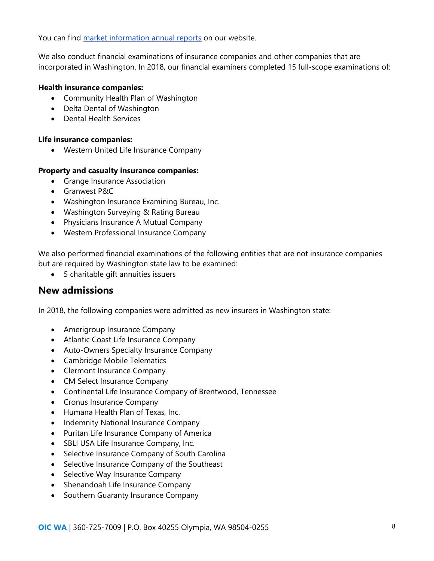You can find [market information annual reports](https://www.insurance.wa.gov/market-information-reports) on our website.

We also conduct financial examinations of insurance companies and other companies that are incorporated in Washington. In 2018, our financial examiners completed 15 full-scope examinations of:

#### **Health insurance companies:**

- Community Health Plan of Washington
- Delta Dental of Washington
- Dental Health Services

#### **Life insurance companies:**

• Western United Life Insurance Company

#### **Property and casualty insurance companies:**

- Grange Insurance Association
- Granwest P&C
- Washington Insurance Examining Bureau, Inc.
- Washington Surveying & Rating Bureau
- Physicians Insurance A Mutual Company
- Western Professional Insurance Company

We also performed financial examinations of the following entities that are not insurance companies but are required by Washington state law to be examined:

• 5 charitable gift annuities issuers

#### **New admissions**

In 2018, the following companies were admitted as new insurers in Washington state:

- Amerigroup Insurance Company
- Atlantic Coast Life Insurance Company
- Auto-Owners Specialty Insurance Company
- Cambridge Mobile Telematics
- Clermont Insurance Company
- CM Select Insurance Company
- Continental Life Insurance Company of Brentwood, Tennessee
- Cronus Insurance Company
- Humana Health Plan of Texas, Inc.
- Indemnity National Insurance Company
- Puritan Life Insurance Company of America
- SBLI USA Life Insurance Company, Inc.
- Selective Insurance Company of South Carolina
- Selective Insurance Company of the Southeast
- Selective Way Insurance Company
- Shenandoah Life Insurance Company
- Southern Guaranty Insurance Company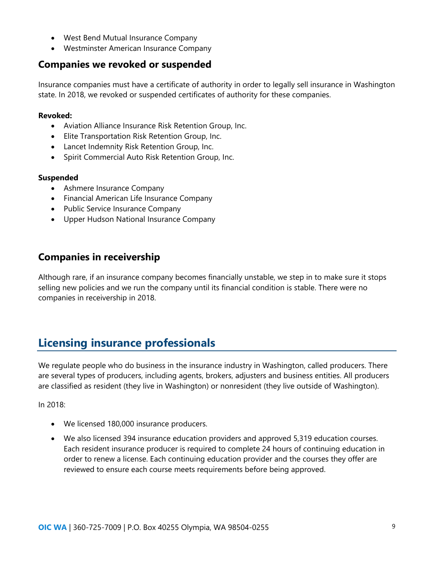- West Bend Mutual Insurance Company
- Westminster American Insurance Company

# **Companies we revoked or suspended**

Insurance companies must have a certificate of authority in order to legally sell insurance in Washington state. In 2018, we revoked or suspended certificates of authority for these companies.

#### **Revoked:**

- Aviation Alliance Insurance Risk Retention Group, Inc.
- Elite Transportation Risk Retention Group, Inc.
- Lancet Indemnity Risk Retention Group, Inc.
- Spirit Commercial Auto Risk Retention Group, Inc.

#### **Suspended**

- Ashmere Insurance Company
- Financial American Life Insurance Company
- Public Service Insurance Company
- Upper Hudson National Insurance Company

# **Companies in receivership**

Although rare, if an insurance company becomes financially unstable, we step in to make sure it stops selling new policies and we run the company until its financial condition is stable. There were no companies in receivership in 2018.

# **Licensing insurance professionals**

We regulate people who do business in the insurance industry in Washington, called producers. There are several types of producers, including agents, brokers, adjusters and business entities. All producers are classified as resident (they live in Washington) or nonresident (they live outside of Washington).

In 2018:

- We licensed 180,000 insurance producers.
- We also licensed 394 insurance education providers and approved 5,319 education courses. Each resident insurance producer is required to complete 24 hours of continuing education in order to renew a license. Each continuing education provider and the courses they offer are reviewed to ensure each course meets requirements before being approved.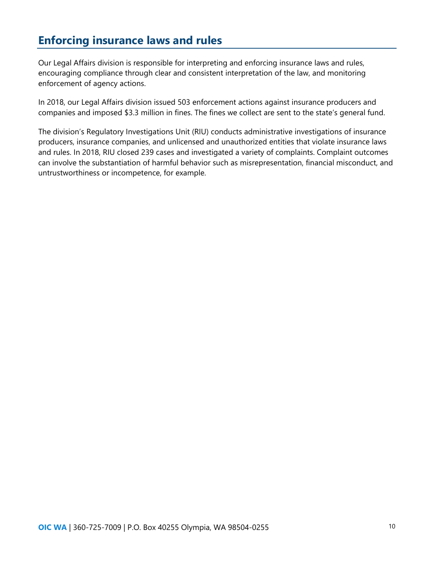# **Enforcing insurance laws and rules**

Our Legal Affairs division is responsible for interpreting and enforcing insurance laws and rules, encouraging compliance through clear and consistent interpretation of the law, and monitoring enforcement of agency actions.

In 2018, our Legal Affairs division issued 503 enforcement actions against insurance producers and companies and imposed \$3.3 million in fines. The fines we collect are sent to the state's general fund.

The division's Regulatory Investigations Unit (RIU) conducts administrative investigations of insurance producers, insurance companies, and unlicensed and unauthorized entities that violate insurance laws and rules. In 2018, RIU closed 239 cases and investigated a variety of complaints. Complaint outcomes can involve the substantiation of harmful behavior such as misrepresentation, financial misconduct, and untrustworthiness or incompetence, for example.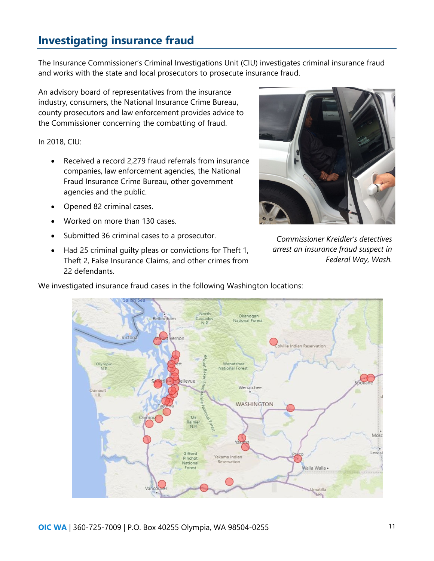# **Investigating insurance fraud**

The Insurance Commissioner's Criminal Investigations Unit (CIU) investigates criminal insurance fraud and works with the state and local prosecutors to prosecute insurance fraud.

An advisory board of representatives from the insurance industry, consumers, the National Insurance Crime Bureau, county prosecutors and law enforcement provides advice to the Commissioner concerning the combatting of fraud.

#### In 2018, CIU:

- Received a record 2,279 fraud referrals from insurance companies, law enforcement agencies, the National Fraud Insurance Crime Bureau, other government agencies and the public.
- Opened 82 criminal cases.
- Worked on more than 130 cases.
- Submitted 36 criminal cases to a prosecutor.
- Had 25 criminal guilty pleas or convictions for Theft 1, Theft 2, False Insurance Claims, and other crimes from 22 defendants.



*Commissioner Kreidler's detectives arrest an insurance fraud suspect in Federal Way, Wash.*

We investigated insurance fraud cases in the following Washington locations: